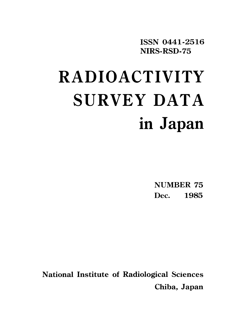ISSN 0441-2516 NIRS-RSD-75

# RADIOACTIVITY SURVEY DATA in Japan

**NUMBER 75** Dec. 1985

**National Institute of Radiological Sciences** Chiba, Japan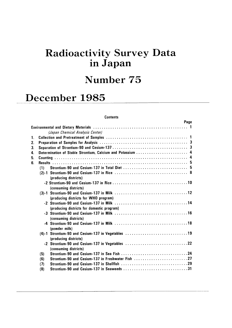# Radioactivity Survey Data inJapan

# Number 75

# December 1985

#### **Contents**

|                |     | Page                                                                        |  |
|----------------|-----|-----------------------------------------------------------------------------|--|
|                |     |                                                                             |  |
|                |     | (Japan Chemical Analysis Center)                                            |  |
| $\mathbf{1}$ . |     |                                                                             |  |
| 2.             |     |                                                                             |  |
| 3.             |     |                                                                             |  |
| 4.             |     | Determination of Stable Strontium, Calcium and Potassium  4                 |  |
| 5.             |     |                                                                             |  |
| 6.             |     |                                                                             |  |
|                | (1) |                                                                             |  |
|                |     | (producing districts)                                                       |  |
|                |     | (consuming districts)                                                       |  |
|                |     | (producing districts for WHO program)                                       |  |
|                |     | (producing districts for domestic program)                                  |  |
|                |     | (consuming districts)                                                       |  |
|                |     | (powder milk)                                                               |  |
|                |     | (4)-1 Strontium-90 and Cesium-137 in Vegetables 19<br>(producing districts) |  |
|                |     | -2 Strontium-90 and Cesium-137 in Vegetables 22<br>(consuming districts)    |  |
|                | (5) |                                                                             |  |
|                | (6) | Strontium-90 and Cesium-137 in Freshwater Fish 27                           |  |
|                | (7) |                                                                             |  |
|                | (8) | Strontium-90 and Cesium-137 in Seaweeds 31                                  |  |
|                |     |                                                                             |  |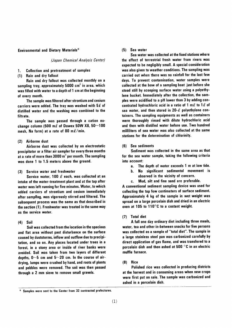#### **Environmental and Dietary Materials\***

#### (Japan Chemical Analysis Center)

**Collection and pretreatment of samples**  $\mathbf{1}$ .

(1) Rain and dry fallout

Bain and dry fallout was collected monthly on a sampling tray, approximately 5000 cm<sup>2</sup> in area, which was filled with water to a depth of 1 cm at the beginning of every month.

The sample was filtered after strontium and cesium carriers were added. The tray was washed with  $5\ell$  of distilled water and the washing was combined to the filtrate.

The sample was passed through a cation exchange column (500 m $\ell$  of Dowex 50W X8, 50~100 mesh, Na form) at a rate of 80 m $\ell$ /min.

#### (2) Airborne dust

Airborne dust was collected by an electrostatic precipitator or a filter air sampler for every three months at a rate of more than  $3000 \text{ m}^3$  per month. The sampling was done 1 to 1.5 meters above the ground.

(3) Service water and freshwater

Service water, 100  $\ell$  each, was collected at an intake of the water-treatment plant and at the tap after water was left running for five minutes. Water, to which added carriers of strontium and cesium immediately after sampling, was vigorously stirred and filtered. The subsequent process was the same as that described in the section (1). Freshwater was treated in the same way as the service water.

#### $(4)$  Soil

Soil was collected from the location in the spacious and flat area without past disturbance on the surface caused by duststorms, inflow and outflow due to precipitation, and so on. Any places located under trees in a forest, in a stony area or inside of river banks were avoided. Soil was taken from two layers of different depths,  $0 \sim 5$  cm and  $5 \sim 20$  cm. In the course of airdrying, lumps were crushed by hand, and roots of plants and pebbles were removed. The soil was then passed through a 2 mm sieve to remove small gravels.

#### (5) Sea water

Sea water was collected at the fixed stations where the effect of terrestrial fresh water from rivers was expected to be negligibly small. A special consideration was also given to weather conditions. The sampling was carried out when there was no rainfall for the last few days. To prevent contamination, water samples were collected at the bow of a sampling boat just before she stood still by scooping surface water using a polyethylene bucket. Immediately after the collection, the samples were acidified to a pH lower than 3 by adding concentrated hydrochloric acid in a ratio of 1 m $\ell$  to 1 $\ell$  of sea water, and then stored in  $20-\ell$  polyethylene containers. The sampling equipments as well as containers were thoroughly rinsed with dilute hydrochloric acid and then with distilled water before use. Two hundred milliliters of sea water was also collected at the same stations for the determination of chlorinity.

#### (6) Sea sediments

Sediment was collected in the same area as that for the sea water sample, taking the following criteria into account:

- The depth of water exceeds 1 m at low tide.  $a.$
- No significant sedimental movement is h. observed in the vicinity of concern.
- Mud, silt and fine sand are preferable. c.

A conventional sediment sampling device was used for collecting the top few centimeters of surface sediment. Approximately 4 kg of the sample in wet weight was spread on a large porcelain dish and dried in an electric oven at 105 to 110°C to a costant weight.

#### (7) Total diet

A full one day ordinary diet including three meals, water, tea and other in-between snacks for five persons was collected as a sample of "total diet". The sample in a large stainless steel pan was carbonized carefully by direct application of gas flame, and was transfered to a porcelain dish and then ashed at  $500\degree$ C in an electric muffle furnace.

#### Rice  $(8)$

Polished rice was collected in producing districts at the harvest and in consuming areas when new crops were first put on sale. The sample was carbonized and ashed in a porcelain dish.

Samples were sent to the Center from 32 contracted prefectures.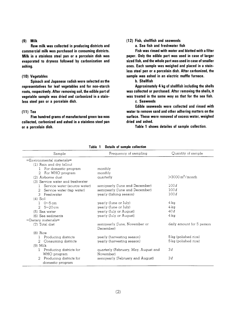#### $(9)$  Milk

Raw milk was collected in producing districts and commercial milk was purchased in consuming districts. Milk in a stainless steel pan or a porcelain dish was evaporated to dryness followed by carbonization and ashing.

#### (10) Vegetables

Spinach and Japanese radish were selected as the representatives for leaf vegetables and for non-starch roots, respectively. After removing soil, the edible part of vegetable sample was dried and carbonized in a stainless steel pan or a porcelain dish.

#### $(11)$  Tea

Five hundred grams of manufactured green tea was collected, carbonized and ashed in a stainless steel pan or a porcelain dish.

#### (12) Fish, shellfish and seaweeds

a. Sea fish and freshwater fish

Fish was rinsed with water and blotted with a filter paper. Only the edible part was used in case of larger sized fish, and the whole part was used in case of smaller ones. Each sample was weighed and placed in a stainless steel pan or a porcelain dish. After carbonized, the sample was ashed in an electric muffle furnace.

**b.** Shellfish

dried and ashed.

Approximately 4 kg of shellfish including the shells was collected or purchased. After removing the shells, it was treated in the same way as that for the sea fish. c. Seaweeds

Edible seaweeds were collected and rinsed with water to remove sand and other adhering matters on the surface. These were removed of excess water, weighed

Table 1 shows detailes of sample collection.

| Sample                                                      | Frequency of sampling                             | Quantity of sample        |
|-------------------------------------------------------------|---------------------------------------------------|---------------------------|
| $=$ Environmental materials $=$<br>(1) Rain and dry fallout |                                                   |                           |
| For domestic program<br>$\mathbf{1}$                        | monthly                                           |                           |
| For WHO program<br>2.                                       | monthly                                           |                           |
| (2) Airborne dust                                           | quarterly                                         | $>$ 3000 $m^3$ /month     |
| (3) Service water and freshwater                            |                                                   |                           |
| Service water (source water)<br>Т.                          | semiyearly (June and December)                    | 100l                      |
| Service water (tap water)<br>2                              | semiyearly (June and December)                    | 100l                      |
| 3 Freshwater                                                | yearly (fishing season)                           | 100l                      |
| $(4)$ Soil<br>$0\neg 5$ cm                                  | yearly (June or July)                             | 4 ka                      |
| $5 \sim 20 \text{ cm}$<br>2.                                | yearly (June or July)                             | 4 ka                      |
| $(5)$ Sea water                                             | yearly (July or August)                           | 40l                       |
| (6) Sea sediments                                           | yearly (July or August)                           | 4 ka                      |
| $=$ Dietary materials $=$                                   |                                                   |                           |
| (7) Total diet                                              | semiyearly (June, November or<br>December)        | daily amount for 5 person |
| $(8)$ Rice                                                  |                                                   |                           |
| Producing districts                                         | yearly (harvesting season)                        | 5 kg (polished rice)      |
| Consuming districts<br>2                                    | yearly (harvesting season)                        | 5 kg (polished rice)      |
| $(9)$ Milk                                                  |                                                   |                           |
| Producing districts for<br>Т.<br>WHO program                | quarterly (February, May, August and<br>November) | 3l                        |
| Producing districts for<br>2<br>domestic program            | semiyearly (February and August)                  | 3l                        |

Table 1 Details of sample collection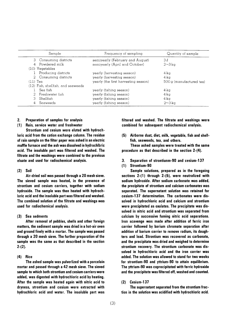| Sample                             | Frequency of sampling                | Quantity of sample       |
|------------------------------------|--------------------------------------|--------------------------|
| 3 Consuming districts              | semiyearly (February and August)     | 3l                       |
| 4 Powdered milk                    | semiyearly (April and October)       | $2 - 3$ ka               |
| $(10)$ Vegetables                  |                                      |                          |
| Producing districts                | yearly (hervesting season)           | 4 kg                     |
| 2 Consuming districts              | yearly (harvesting season)           | 4 ka                     |
| $(11)$ Tea                         | yearly (the first harvesting season) | 500 g (manufactured tea) |
| (12) Fish, shellfish, and seaweeds |                                      |                          |
| Sea fish                           | yearly (fishing season)              | 4 kg                     |
| 2 Freshwater fish                  | yearly (fishing season)              | 4 kg                     |
| Shellfish                          | yearly (fishing season)              | $4 \text{ k}$ a          |
| Seaweeds<br>4                      | yearly (fishing season)              | $2 \sim 3 \text{ kg}$    |

#### 2. Preparation of samples for analysis

#### (1) Rain, service water and freshwater

Strontium and cesium were eluted with hydrochloric acid from the cation exchange column. The residue of rain sample on the filter paper was ashed in an electric muffle furnace and the ash was dissolved in hydrochlbric acid. The insoluble part was filtered and washed. The filtrate and the washings were combined to the previous eluate and used for radiochemical analysis.

#### $(2)$  Soil

Air-dried soil was passed through a 20 mesh sieve. The sieved sample was heated, in the presence of strontium and cesium carriers, together with sodium hydroxide. The sample was then heated with hydrochloric acid and the insoluble part was filtered and washed. The combined solution of the filtrate and washings was used for radiochemical analysis.

#### (3) Sea sedments

After removal of pebbles, shells and other foreign matters, the sediment sample was dried in a hot-air oven and ground finely with a mortar. The sample was passed through a 20 mesh sieve. The further preparation of the sample was the same as that described in the section  $2-(2)$ .

#### $(4)$  Rice

The ashed sample was pulverlized with a porcelain mortar and passed through a 42 mesh sieve. The sieved sample to which both strontium and cesium carriers were added, was digested with hydrochloric acid by heating. After the sample was heated again with nitric acid to dryness, strontium and cesium were extracted with hydrochloric acid and water. The insoluble part was

filtered and washed. The filtrate and washings were combined for subsequent radiochemical analysis.

(5) Airborne dust, diet, milk, vegetable, fish and shellfish, seaweeds, tea, and others.

These ashed samples were treated with the same procedure as that described in the section  $2-(4)$ .

- 3. Separation of strontiunm-90 and cesium-137
- (1) Strontium-90

Sample solutions, prepared as in the foregoing sections  $2-(1)$  through  $2-(5)$ , were neutralized with sodium hydroxide. After sodium carbonate was added, the precipitate of strontium and calcium carbonates was separated. The supernatant solution was retained for cesium-137 determination. The carbonates were dissolved in hydrochloric acid and calcium and strontium were precipitated as oxalates. The precipitate was dissolved in nitric acid and strontium was separated from calcium by successive fuming nitric acid separations. Iron scavenge was made after addition of ferric iron carrier followed by barium chromate separation after addition of barium carrier to remove radium, its daughters and lead. Strontium was recovered as carbonate, and the precipitate was dried and weighed to determine strontium recovery. The strontium carbonate was dissolved in hydrochloric acid and the iron carrier was added. The solution was allowed to stand for two weeks for strontium-90 and yttrium-90 to attain equilibrium. The yttrium-90 was coprecipitated with ferric hydroxide and the precipitate was filtered off, washed and counted.

#### $(2)$  Cesium-137

The supernatant separated from the strontium fraction in the solution was acidified with hydrochloric acid.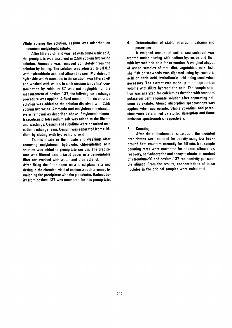While stirring the solution, cesium was adsorbed on ammonium molybdophosphate.

After filtered off and washed with dilute nitric acid, the precipitate was dissolved in 2.5N sodium hydroxide solution. Ammonia was removed completely from the solution by boiling. The solution was adjusted to pH 8.2 with hydrochloric acid and allowed to cool. Molybdenum hydroxide which came out in the solution, was filtered off and washed with water. In such circumstance that contamination by rubidium-87 was not negligible for the measurement of cesium-137, the follwing ion-exchange procedure was applied. A fixed amount of ferric chloride solution was added to the solution dissolved with 2.5N sodium hydroxide. Ammonia and molybdenum hydroxide were removed as described above. Ethylenediaminetetraaceticacid tetrasodium salt was added to the filtrate and washings. Cesium and rubidium were adsorbed on a cation exchange resin. Cesium was separated from rubidium by eluting with hydrochloric acid.

To this eluate or the filtrate and washings after removing molybdenum hydroxide, chloroplatinic acid solution was added to precipitate cesium. The precipitate was filtered onto a tared paper in a demountable filter and washed with water and then ethanol.

After fixing the filter paper on a tared planchette and drying it, the chemical yield of cesium was determined by weighing the precipitate with the planchette. Radioactivity from cesium-137 was measured for this precipitate.

Determination of stable strontium, calcium and 4. potassium

A weighed amount of soil or sea sediment was treated under heating with sodium hydroxide and then with hydrochloric acid for extraction. A weighed aliquot of ashed samples of total diet, vegetables, milk, fish, shellfish or seeweeds was digested using hydrochloric acid or nitric acid, hydrofluoric acid being used when necessary. The extract was made up to an appropriate volume with dilute hydrochloric acid. The sample solution was analyzed for calcium by titration with standard potassium permanganate solution after separating calcium as oxalate. Atomic absorption spectroscopy was applied when appropriate. Stable strontium and potassium were determined by atomic absorption and flame emission spectrometry, respectively.

5. **Counting** 

After the radiochemical separation, the mounted precipitates were counted for activity using low background beta counters normally for 60 min. Net sample counting rates were corrected for counter efficeiency, recovery, self-absorption and decay to obtain the content of strontium-90 and cesium-137 radioactivity per sample aliquot. From the results, concentrations of these nuclides in the original samples were calculated.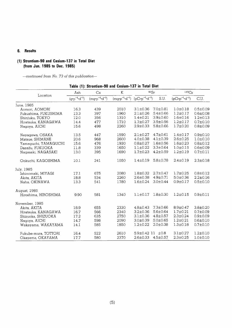# 6. Results

# (1) Strontium-90 and Cesium-137 in Total Diet (from Jun. 1985 to Dec. 1985)

-continued from No. 73 of this publication-

|                      | Ash                             | Ca                               | K                                | 90Sr                           |                | $137C_S$               |                |  |
|----------------------|---------------------------------|----------------------------------|----------------------------------|--------------------------------|----------------|------------------------|----------------|--|
| Location             | $(a \cdot p^{-1} \cdot d^{-1})$ | $(mq \cdot p^{-1} \cdot d^{-1})$ | $(mq \cdot p^{-1} \cdot d^{-1})$ | $(pCi^{n}p^{-1}{\cdot}d^{-1})$ | S.U.           | $(pCi^{p^{-1}}d^{-1})$ | C.U.           |  |
| June, 1985           |                                 |                                  |                                  |                                |                |                        |                |  |
| Aomori, AOMORI       | 16.3                            | 439                              | 2010                             | $3.1 \pm 0.36$                 | $7.0 \pm 0.81$ | $1.0 \pm 0.18$         | $0.5 \pm 0.09$ |  |
| Fukushima, FUKUSHIMA | 13.3                            | 397                              | 1960                             | $2.1 \pm 0.26$                 | $5.4 \pm 0.66$ | $1.2 \pm 0.17$         | $0.6 \pm 0.08$ |  |
| Shinjuku, TOKYO      | 12.0                            | 356                              | 1310                             | $1.4 \pm 0.21$                 | $3.9 \pm 0.60$ | $1.6 \pm 0.16$         | $1.2 \pm 0.13$ |  |
| Hiratsuka, KANAGAWA  | 14.4                            | 477                              | 1710                             | $1.7 \pm 0.27$                 | $3.5 \pm 0.56$ | $1.2 \pm 0.17$         | $0.7 \pm 0.10$ |  |
| Nagoya, AICHI        | 15.6                            | 498                              | 2260                             | $2.9 \pm 0.33$                 | $5.8 \pm 0.66$ | $1.7 \pm 0.20$         | $0.8 + 0.09$   |  |
| Neyagawa, OSAKA      | 13.5                            | 447                              | 1590                             | $2.1 \pm 0.27$                 | $4.7 \pm 0.61$ | $1.4 \pm 0.17$         | $0.9 + 0.10$   |  |
| Matsue, SHIMANE      | 20.6                            | 968                              | 2600                             | $4.0 \pm 0.38$                 | $4.1 \pm 0.39$ | $2.6 \pm 0.25$         | $1.0 \pm 0.10$ |  |
| Yamaguchi, YAMAGUCHI | 15.6                            | 476                              | 1930                             | $0.8 + 0.27$                   | $1.6 \pm 0.56$ | $1.6 \pm 0.23$         | $0.8 \pm 0.12$ |  |
| Dazaifu, FUKUOKA     | 11.8                            | 339                              | 1650                             | $1.1 \pm 0.22$                 | $3.3 \pm 0.64$ | $1.0 \pm 0.15$         | $0.6 \pm 0.09$ |  |
| Nagasaki, NAGASAKI   | 13.0                            | 395                              | 1690                             | $1.7 \pm 0.23$                 | $4.2 \pm 0.59$ | $1.2 \pm 0.19$         | $0.7 \pm 0.11$ |  |
| Ookuchi, KAGOSHIMA   | 10.1                            | 241                              | 1050                             | $1.4 \pm 0.19$                 | $5.8 \pm 0.78$ | $2.4 \pm 0.19$         | $2.3 \pm 0.18$ |  |
| July, 1985           |                                 |                                  |                                  |                                |                |                        |                |  |
| Ishinomaki, MIYAGI   | 17.1                            | 675                              | 2080                             | $1.8 \pm 0.32$                 | $2.7 \pm 0.47$ | $1.7 + 0.25$           | $0.8 + 0.12$   |  |
| Akita, AKITA         | 18.8                            | 534                              | 2260                             | $2.6 \pm 0.38$                 | $4.9 \pm 0.71$ | $5.0 \pm 0.36$         | $2.2 \pm 0.16$ |  |
| Naha, OKINAWA        | 13.3                            | 541                              | 1780                             | $1.6 \pm 0.24$                 | $3.0 \pm 0.44$ | $0.9 + 0.17$           | $0.5 \pm 0.10$ |  |
| August, 1985         |                                 |                                  |                                  |                                |                |                        |                |  |
| Hiroshima, HIROSHIMA | 9.90                            | 581                              | 1340                             | $1.1 \pm 0.17$                 | $1.8 + 0.30$   | $1.2 \pm 0.15$         | $0.9 \pm 0.11$ |  |
| November, 1985       |                                 |                                  |                                  |                                |                |                        |                |  |
| Akita, AKITA         | 18.9                            | 655                              | 2330                             | $4.8 \pm 0.43$                 | $7.3 \pm 0.66$ | $8.9 \pm 0.47$         | $3.8 \pm 0.20$ |  |
| Hiratsuka, KANAGAWA  | 16.7                            | 566                              | 2340                             | $3.2 \pm 0.36$                 | $5.6 \pm 0.64$ | $1.7 \pm 0.21$         | $0.7 \pm 0.09$ |  |
| Shizuoka, SHIZUOKA   | 17.2                            | 635                              | 2750                             | $3.1 \pm 0.36$                 | $4.8 \pm 0.57$ | $2.3 \pm 0.24$         | $0.9 + 0.09$   |  |
| Nagoya, AICHI        | 14.7                            | 598                              | 2090                             | $3.0 \pm 0.39$                 | $5.0 \pm 0.65$ | $1.2 \pm 0.21$         | $0.6 \pm 0.10$ |  |
| Wakayama, WAKAYAMA   | 14.1                            | 585                              | 1850                             | $1.2 \pm 0.22$                 | $2.0 \pm 0.38$ | $1.3 \pm 0.18$         | $0.7 \pm 0.10$ |  |
| Fukube-mura, TOTTORI | 16.4                            | 522                              | 2610                             | $5.9 \pm 0.42$ 11 $\pm 0.8$    |                | $3.1 \pm 0.27$         | $1.2 \pm 0.10$ |  |
| Okayama, OKAYAMA     | 17.7                            | 580                              | 2370                             | $2.6 \pm 0.33$                 | $4.5 \pm 0.57$ | $2.3 + 0.25$           | $1.0 \pm 0.10$ |  |

#### Table (1): Strontium-90 and Cesium-137 in Total Diet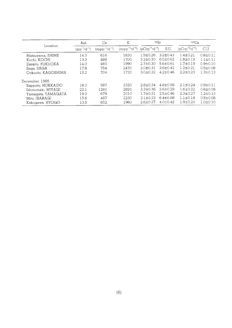|                    | Ash                             | K<br>Ca                   |                                  | 90Sr                              |                | $137C_S$                          |                |
|--------------------|---------------------------------|---------------------------|----------------------------------|-----------------------------------|----------------|-----------------------------------|----------------|
| Location           | $(q \cdot p^{-1} \cdot d^{-1})$ | $(mqrp^{-1}\cdot d^{-1})$ | $(mq \cdot p^{-1} \cdot d^{-1})$ | $(pCi \cdot p^{-1} \cdot d^{-1})$ | S.U.           | $(pCi \cdot p^{-1} \cdot d^{-1})$ | C.U.           |
| Matsuyama, EHIME   | 14.3                            | 616                       | 1830                             | $1.9 \pm 0.26$                    | $3.2 \pm 0.43$ | $1.4 \pm 0.21$                    | $0.8 + 0.11$   |
| Kochi, KOCHI       | 13.3                            | 488                       | 1700                             | $3.2 + 0.30$                      | $6.5 \pm 0.62$ | $1.8 + 0.19$                      | $1.1 \pm 0.11$ |
| Dazaifu, FUKUOKA   | 14.0                            | 483                       | 1990                             | $2.7 + 0.30$                      | $5.6 \pm 0.61$ | $1.7 + 0.19$                      | $0.9 + 0.10$   |
| Saga, SAGA         | 17.8                            | 754                       | 2470                             | $2.0 + 0.31$                      | $2.6 \pm 0.42$ | $1.2 + 0.21$                      | $0.5 \pm 0.08$ |
| Ookuchi, KAGOSHIMA | 15.2                            | 704                       | 1720                             | $3.0 \pm 0.32$                    | $4.2 + 0.46$   | $2.2 + 0.23$                      | $1.3 \pm 0.13$ |
| December, 1985     |                                 |                           |                                  |                                   |                |                                   |                |
| Sapporo, HOKKAIDO  | 18.0                            | 587                       | 2320                             | $2.8 \pm 0.34$                    | $4.8 \pm 0.58$ | $2.1 \pm 0.24$                    | $0.9 + 0.11$   |
| Ishinomaki, MIYAGI | 22.1                            | 1260                      | 2820                             | $3.3 \pm 0.36$                    | $2.6 \pm 0.29$ | $1.6 + 0.22$                      | $0.6 \pm 0.08$ |
| Yamagata, YAMAGATA | 19.0                            | 679                       | 2010                             | $1.7 + 0.31$                      | $2.5 \pm 0.46$ | $2.3 \pm 0.27$                    | $1.2 + 0.13$   |
| Mito, IBARAGI      | 15.6                            | 487                       | 2230                             | $3.1 + 0.33$                      | $6.4 \pm 0.68$ | $1.1 \pm 0.18$                    | $0.5 + 0.08$   |
| Kakogawa, HYOGO    | 13.5                            | 652                       | 1960                             | $2.6 \pm 0.27$                    | $4.0 + 0.42$   | $1.9 + 0.20$                      | $1.0 + 0.10$   |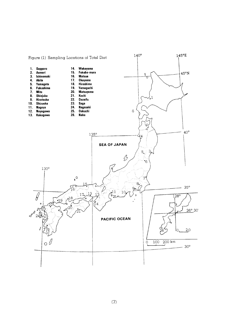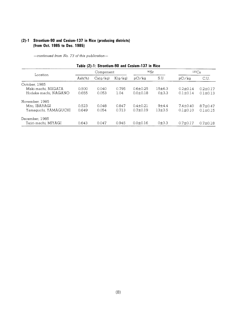# (2)-1 Strontium-90 and Cesium-137 in Rice (producing districts) (from Oct. 1985 to Dec. 1985)

-continued from No. 73 of this publication-

|                      |            |          |         | Table (2)-1: Strontium-90 and Cesium-137 in Rice |          |                |                |
|----------------------|------------|----------|---------|--------------------------------------------------|----------|----------------|----------------|
| Location             | Component  |          |         | 90Sr                                             |          | $137C_S$       |                |
|                      | Ash $(\%)$ | Ca(q/kq) | K(q/kq) | pCi/kg                                           | S.U.     | pCi/ka         | C.U.           |
| October, 1985        |            |          |         |                                                  |          |                |                |
| Maki-machi, NIIGATA  | 0.500      | 0.040    | 0.795   | $0.6 \pm 0.25$                                   | 15±6.3   | $0.2 \pm 0.14$ | $0.2 \pm 0.17$ |
| Hodaka-machi, NAGANO | 0.655      | 0.053    | 1.04    | $0.0 \pm 0.18$                                   | 0±3.3    | $0.1 \pm 0.14$ | $0.1 + 0.13$   |
| November, 1985       |            |          |         |                                                  |          |                |                |
| Mito, IBARAGI        | 0.523      | 0.048    | 0.847   | $0.4 + 0.21$                                     | $9+4.4$  | $7.4 + 0.40$   | $8.7 + 0.47$   |
| Yamaguchi, YAMAGUCHI | 0.649      | 0.054    | 0.713   | $0.7 + 0.19$                                     | $13+3.5$ | $0.1 \pm 0.10$ | $0.1 + 0.15$   |
| December, 1985       |            |          |         |                                                  |          |                |                |
| Tajiri-machi, MIYAGI | 0.643      | 0.047    | 0.945   | $0.0 \pm 0.16$                                   | 0±3.3    | $0.7 \pm 0.17$ | $0.7 \pm 0.18$ |

Table (2)-1: Strontium-90 and Cesium-127 in Bir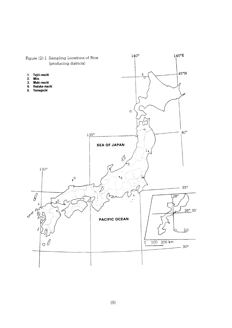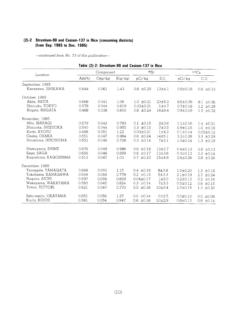# (2)-2 Strontium-90 and Cesium-137 in Rice (consuming districts) (from Sep. 1985 to Dec. 1985)

-continued from No. 73 of this publication-

|                      |           |           |         | Table (2)-2: Strontium-90 and Cesium-137 in Rice |                   |                |                 |
|----------------------|-----------|-----------|---------|--------------------------------------------------|-------------------|----------------|-----------------|
| Location             |           | Component |         | 90Sr                                             |                   |                | $137C_S$        |
|                      | $Ash(\%)$ | Ca(g/kg)  | K(g/kg) | pCi/kg                                           | S.U.              | pCi/kg         | C.U.            |
| September, 1985      |           |           |         |                                                  |                   |                |                 |
| Kanazawa, ISHIKAWA   | 0.644     | 0.061     | 1.43    | $0.8 \pm 0.25$                                   | 13±4.1            | $0.8 \pm 0.18$ | $0.6 \pm 0.13$  |
| October, 1985        |           |           |         |                                                  |                   |                |                 |
| Akita, AKITA         | 0.668     | 0.041     | 1.06    | $1.0 \pm 0.21$                                   | 23±5.2            | $8.6 \pm 0.38$ | $8.1 \pm 0.36$  |
| Shinjuku, TOKYO      | 0.579     | 0.044     | 0.619   | $0.03 \pm 0.21$                                  | $1 + 4.7$         | $0.7 \pm 0.18$ | $1.2 \pm 0.29$  |
| Niigata, NIIGATA     | 0.488     | 0.038     | 0.600   | $0.6 \pm 0.24$                                   | 16±6.4            | $0.9 + 0.19$   | $1.5 \pm 0.32$  |
| November, 1985       |           |           |         |                                                  |                   |                |                 |
| Mito, IBARAGI        | 0.579     | 0.042     | 0.793   | $0.1 \pm 0.15$                                   | $2\pm3.6$         | $1.1 \pm 0.16$ | $1.4 \pm 0.21$  |
| Shizuoka, SHIZUOKA   | 0.540     | 0.044     | 0.955   | $0.3 \pm 0.15$                                   | $7 + 3.5$         | $0.9 + 0.15$   | $1.0 \pm 0.16$  |
| Kyoto, KYOTO         | 0.498     | 0.051     | 1.22    | $0.03 \pm 0.21$                                  | $1 + 4.2$         | $0.1 + 0.14$   | $0.05 \pm 0.12$ |
| Osaka, OSAKA         | 0.551     | 0.047     | 0.964   | $0.6 \pm 0.24$                                   | 14±5.1            | $3.2 \pm 0.28$ | $3.3 \pm 0.29$  |
| Hiroshima, HIROSHIMA | 0.552     | 0.046     | 0.728   | $0.3 \pm 0.14$                                   | $7 + 3.1$         | $1.0 \pm 0.14$ | $1.3 \pm 0.19$  |
| Matsuyama, EHIME     | 0.676     | 0.049     | 0.986   | $0.6 \pm 0.18$                                   | $13 + 3.7$        | $0.4 \pm 0.13$ | $0.5 \pm 0.13$  |
| Saga, SAGA           | 0.656     | 0.048     | 0.859   | $0.6 \pm 0.17$                                   | 13±3.6            | $0.3 \pm 0.12$ | $0.3 \pm 0.14$  |
| Kagoshima, KAGOSHIMA | 0.513     | 0.047     | 1.00    | $0.7 \pm 0.23$                                   | 15±4.9            | $2.8 \pm 0.26$ | $2.8 \pm 0.26$  |
| December, 1985       |           |           |         |                                                  |                   |                |                 |
| Yamagata, YAMAGATA   | 0.668     | 0.050     | 1.15    | $0.4 \pm 0.19$                                   | $8 + 3.8$         | $1.5 \pm 0.20$ | $1.3 \pm 0.18$  |
| Yokohama, KANAGAWA   | 0.549     | 0.044     | 0.779   | $0.2 \pm 0.15$                                   | $5 + 3.3$         | $2.1 \pm 0.19$ | $2.7 \pm 0.24$  |
| Nagoya, AICHI        | 0.597     | 0.056     | 0.829   | $0.04 \pm 0.17$                                  | $1\pm3.0$         | $0.2 \pm 0.13$ | $0.2 \pm 0.16$  |
| Wakayama, WAKAYAMA   | 0.593     | 0.045     | 0.824   | $0.3 \pm 0.14$                                   | $7 + 3.2$         | $0.5 \pm 0.12$ | $0.6 \pm 0.15$  |
| Tottori, TOTTORI     | 0.621     | 0.047     | 0.770   | $0.5 \pm 0.16$                                   | 10±3.4            | $1.0 + 0.15$   | $1.3 \pm 0.20$  |
| Seto-machi, OKAYAMA  | 0.651     | 0.056     | 1.27    | $0.0 \pm 0.14$                                   | 0 <sub>±2.5</sub> | $0.0 \pm 0.10$ | $0.0 \pm 0.08$  |
| Kochi, KOCHI         | 0.581     | 0.054     | 0.947   | $0.6 \pm 0.16$                                   | $10 + 2.9$        | $0.8 \pm 0.13$ | $0.8 \pm 0.14$  |

# $Table(2)$ : Strontium-90and Cesaring  $90a$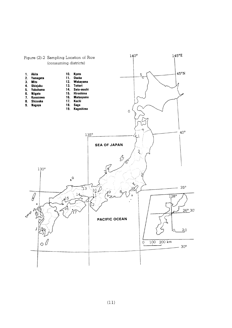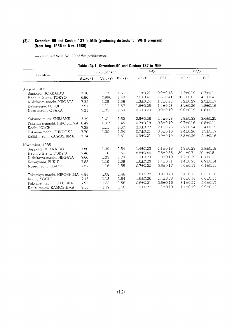# (3)-1 Strontium-90 and Cesium-137 in Milk (producing districts for WHO program) (from Aug. 1985 to Nov. 1985)

|                           | Component            |              |                  | 90Sr           |                | $137C_S$        |                 |
|---------------------------|----------------------|--------------|------------------|----------------|----------------|-----------------|-----------------|
| Location                  | $\text{Ash}(g/\ell)$ | $Ca(g/\ell)$ | $K(\alpha/\ell)$ | $pCi/\ell$     | S.U.           | $pCi/\ell$      | C.U.            |
| August, 1985              |                      |              |                  |                |                |                 |                 |
| Sapporo, HOKKAIDO         | 7.36                 | 1.17         | 1.66             | $1.1 \pm 0.21$ | $0.9 + 0.18$   | $1.2 \pm 0.19$  | $0.7 \pm 0.12$  |
| Hachijo-Island, TOKYO     | 6.86                 | 0.996        | 1.40             | $7.6 \pm 0.41$ | $7.6 \pm 0.41$ | ±0.6<br>20      | 14 $\pm 0.4$    |
| Nishikawa-machi, NIIGATA  | 7.32                 | 1.05         | 1.58             | $1.3 \pm 0.24$ | $1.2 + 0.23$   | $3.2 + 0.27$    | $2.0 + 0.17$    |
| Katsuyama, FUKUI          | 7.57                 | 1.11         | 1.67             | $1.6 + 0.25$   | $1.4 \pm 0.23$ | $3.1 \pm 0.26$  | $1.8 + 0.16$    |
| Nose-machi, OSAKA         | 7.21                 | 1.03         | 1.59             | $0.9 + 0.20$   | $0.9 + 0.19$   | $0.9 + 0.19$    | $0.6 \pm 0.12$  |
| Yakumo-mura, SHIMANE      | 7.39                 | 1.01         | 1.62             | $2.5 \pm 0.28$ | $2.4 \pm 0.28$ | $5.8 \pm 0.33$  | $3.6 \pm 0.20$  |
| Takamiya-machi, HIROSHIMA | 6.47                 | 0.939        | 1.45             | $0.7 \pm 0.18$ | $0.8 \pm 0.19$ | $0.7 \pm 0.16$  | $0.5 + 0.11$    |
| Kochi, KOCHI              | 7.38                 | 1.11         | 1.60             | $2.3 \pm 0.27$ | $2.1 \pm 0.25$ | $2.2 \pm 0.24$  | $1.4 \pm 0.15$  |
| Fukuma-machi, FUKUOKA     | 7.70                 | 1.30         | 1.54             | $0.7 \pm 0.21$ | $0.5 \pm 0.16$ | $2.4 \pm 0.26$  | $1.5 \pm 0.17$  |
| Kajiki-machi, KAGOSHIMA   | 7.34                 | 1.11         | 1.61             | $0.9 \pm 0.21$ | $0.9 + 0.19$   | $3.3 \pm 0.26$  | $2.1 \pm 0.16$  |
| November, 1985            |                      |              |                  |                |                |                 |                 |
| Sapporo, HOKKAIDO         | 7.50                 | 1.29         | 1.54             | $1.4 \pm 0.23$ | $1.1 \pm 0.18$ | $4.3 \pm 0.29$  | $2.8 \pm 0.19$  |
| Hachijo-Island, TOKYO     | 7.46                 | 1.16         | 1.50             | $8.8 \pm 0.44$ | 7.6±0.38       | $\pm 0.7$<br>30 | $\pm 0.5$<br>20 |
| Nishikawa-machi, NIIGATA  | 7.60                 | 1.23         | 1.73             | $1.3 \pm 0.23$ | $1.0 \pm 0.19$ | $1.2 \pm 0.19$  | $0.7 + 0.11$    |
| Katsuyama, FUKUI          | 7.83                 | 1.19         | 1.59             | $1.6 \pm 0.25$ | $1.4 \pm 0.21$ | $1.4 \pm 0.23$  | $0.9 + 0.14$    |
| Nose-machi, OSAKA         | 7.52                 | 1.16         | 1.55             | $0.7 \pm 0.20$ | $0.6 \pm 0.17$ | $0.6 \pm 0.17$  | $0.4 \pm 0.11$  |
| Takamiya-machi, HIROSHIMA | 6.96                 | 1.08         | 1.48             | $1.0 + 0.22$   | $0.9 + 0.20$   | $0.4 \pm 0.15$  | $0.3 \pm 0.10$  |
| Kochi, KOCHI              | 7.45                 | 1.13         | 1.64             | $1.6 \pm 0.26$ | $1.4 \pm 0.23$ | $1.0 + 0.18$    | $0.6 \pm 0.11$  |
| Fukuma-machi, FUKUOKA     | 7.95                 | 1.33         | 1.58             | $0.8 \pm 0.21$ | $0.6 \pm 0.16$ | $3.1 \pm 0.27$  | $2.0 \pm 0.17$  |
| Kajiki-machi, KAGOSHIMA   | 7.50                 | 1.17         | 1.60             | $1.2 + 0.23$   | $1.1 \pm 0.19$ | $1.4 \pm 0.19$  | $0.9 \pm 0.12$  |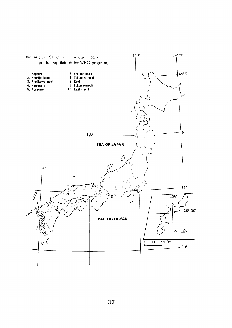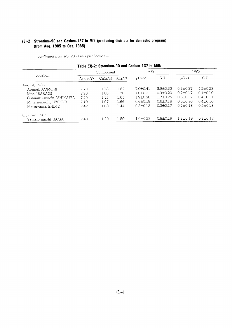# (3)-2 Strontium-90 and Cesium-137 in Mik (producing districts for domestic program) (from Aug. 1985 to Oct. 1985)

-continued from No. 73 of this publication-

|                          |                      |              |             | lable (3)-2: Strontium-90 and Cesium-137 in Milk |                |                |                |
|--------------------------|----------------------|--------------|-------------|--------------------------------------------------|----------------|----------------|----------------|
|                          | Component            |              |             | 90Sr                                             |                | $137C_S$       |                |
| Location                 | $\text{Ash}(q/\ell)$ | $Ca(q/\ell)$ | $K(q/\ell)$ | $pCi/\ell$                                       | S.U.           | $pCi/\ell$     | C.U.           |
| August, 1985             |                      |              |             |                                                  |                |                |                |
| Aomori, AOMORI           | 7.73                 | 1.18         | 1.62        | $7.0+0.41$                                       | $5.9 \pm 0.35$ | $6.9 \pm 0.37$ | $4.2 \pm 0.23$ |
| Mito, IBARAGI            | 7.36                 | 1.08         | 1.70        | $1.0 + 0.21$                                     | $0.9 + 0.20$   | $0.7 \pm 0.17$ | $0.4 \pm 0.10$ |
| Oshimizu-machi, ISHIKAWA | 7.20                 | 1.12         | 1.61        | $1.9 + 0.28$                                     | $1.7 + 0.25$   | $0.6 \pm 0.17$ | $0.4 + 0.11$   |
| Mihara-machi, HYOGO      | 7.19                 | 1.07         | 1.66        | $0.6 + 0.19$                                     | $0.6 \pm 0.18$ | $0.6 + 0.16$   | $0.4 \pm 0.10$ |
| Matsuvama, EHIME         | 7.42                 | 1.08         | 1.44        | $0.3 \pm 0.18$                                   | $0.3 + 0.17$   | $0.7 \pm 0.18$ | $0.5 + 0.13$   |
| October, 1985            |                      |              |             |                                                  |                |                |                |
| Yamato-machi, SAGA       | 7.43                 | 1.20         | 1.59        | $1.0 \pm 0.23$                                   | $0.8{\pm}0.19$ | $1.3 \pm 0.19$ | $0.8 \pm 0.12$ |

Toble (2) 2. Ctrontium-00 and Casium-137 in Milk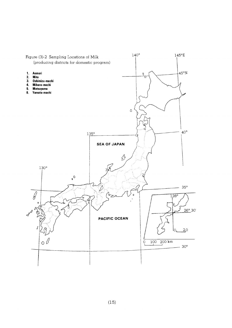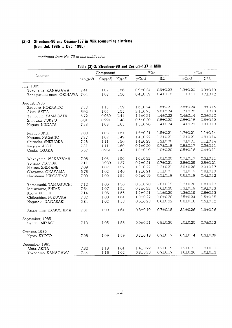## (3)-3 Strontium-90andCesium-137inMilk(COnSumingdistricts) (from Jul. 1985 to Dec. 198

|                               |                |              |             | Table (3)-3: Strontium-90 and Cesium-137 in Milk |                |                |                |
|-------------------------------|----------------|--------------|-------------|--------------------------------------------------|----------------|----------------|----------------|
|                               |                | Component    |             | $90S_r$                                          |                | $137C_S$       |                |
| Location                      | Ash $(g/\ell)$ | $Ca(g/\ell)$ | $K(g/\ell)$ | $pCi/\ell$                                       | S.U.           | $pCi/\ell$     | C.U.           |
| July, 1985                    |                |              |             |                                                  |                |                |                |
| Yokohama, KANAGAWA            | 7.41           | 1.02         | 1.56        | $0.9 + 0.24$                                     | $0.9 + 0.23$   | $1.3 + 0.20$   | $0.9 + 0.13$   |
| Yonagusuku-mura, OKINAWA 7.04 |                | 1.07         | 1.56        | $0.4 + 0.19$                                     | $0.4 \pm 0.18$ | $1.1 \pm 0.19$ | $0.7 \pm 0.12$ |
| August, 1985                  |                |              |             |                                                  |                |                |                |
| Sapporo, HOKKAIDO             | 7.33           | 1.13         | 1.59        | $1.6 \pm 0.24$                                   | $1.5 \pm 0.21$ | $2.8 \pm 0.24$ | $1.8 + 0.15$   |
| Akita, AKITA                  | 6.92           | 1.04         | 1.55        | $2.1 \pm 0.25$                                   | $2.0 \pm 0.24$ | $1.7 + 0.20$   | $1.1 \pm 0.13$ |
| Yamagata, YAMAGATA            | 6.72           | 0.960        | 1.44        | $1.4 \pm 0.21$                                   | $1.4 \pm 0.22$ | $0.4 \pm 0.14$ | $0.3 \pm 0.10$ |
| Shinjuku, TOKYO               | 6.81           | 0.991        | 1.48        | $0.5 \pm 0.20$                                   | $0.5 \pm 0.20$ | $0.8 \pm 0.18$ | $0.6 \pm 0.12$ |
| Niigata, NIIGATA              | 7.53           | 1.08         | 1.65        | $1.5 \pm 0.26$                                   | $1.4 \pm 0.24$ | $1.4 \pm 0.22$ | $0.8 + 0.13$   |
| Fukui, FUKUI                  | 7.00           | 1.03         | 1.51        | $1.6 \pm 0.21$                                   | $1.5 \pm 0.21$ | $1.7 \pm 0.21$ | $1.1 \pm 0.14$ |
| Nagano, NAGANO                | 7.27           | 1.02         | 1.49        | $1.4 + 0.22$                                     | $1.3 + 0.21$   | $1.2 \pm 0.21$ | $0.8 \pm 0.14$ |
| Shizuoka, SHIZUOKA            | 7.28           | 1.11         | 1.50        | $1.4 + 0.23$                                     | $1.2 \pm 0.20$ | $1.7 + 0.21$   | $1.1 \pm 0.14$ |
| Nagoya, AICHI                 | 7.31           | 1.11         | 1.60        | $0.7 \pm 0.20$                                   | $0.7 \pm 0.18$ | $0.8 \pm 0.17$ | $0.5 \pm 0.11$ |
| Osaka, OSAKA                  | 6.57           | 0.961        | 1.43        | $1.0 \pm 0.19$                                   | $1.0 \pm 0.20$ | $0.5 \pm 0.16$ | $0.4 \pm 0.11$ |
| Wakayama, WAKAYAMA            | 7.06           | 1.08         | 1.56        | $1.0 + 0.22$                                     | $1.0 \pm 0.20$ | $0.7 + 0.17$   | $0.5 \pm 0.11$ |
| Yonago, TOTTORI               | 7.11           | 0.989        | 1.37        | $0.7 \pm 0.21$                                   | $0.7 + 0.21$   | $3.8 \pm 0.29$ | $2.8 \pm 0.21$ |
| Matsue, SHIMANE               | 7.09           | 1.07         | 1.52        | $1.3 \pm 0.22$                                   | $1.2 \pm 0.21$ | $3.0 \pm 0.26$ | $2.0 \pm 0.17$ |
| Okayama, OKAYAMA              | 6.78           | 1.02         | 1.46        | $1.2 \pm 0.21$                                   | $1.1 \pm 0.21$ | $1.2 \pm 0.19$ | $0.8 \pm 0.13$ |
| Hiroshima, HIROSHIMA          | 7.00           | 1.00         | 1.54        | $0.5 \pm 0.19$                                   | $0.5 \pm 0.19$ | $0.6 \pm 0.19$ | $0.4 \pm 0.12$ |
| Yamaguchi, YAMAGUCHI          | 7.12           | 1.05         | 1.56        | $0.8 + 0.20$                                     | $1.8 \pm 0.19$ | $1.2 \pm 0.20$ | $0.8 \pm 0.13$ |
| Matsuyama, EHIME              | 7.64           | 1.07         | 1.52        | $0.7 \pm 0.22$                                   | $0.6 \pm 0.20$ | $1.3 \pm 0.19$ | $0.9 + 0.13$   |
| Kochi, KOCHI                  | 7.14           | 1.06         | 1.55        | $1.2 \pm 0.21$                                   | $1.1 \pm 0.20$ | $1.3 \pm 0.19$ | $0.8 \pm 0.13$ |
| Chikushino, FUKUOKA           | 7.32           | 1.08         | 1.61        | $1.0 \pm 0.22$                                   | $1.0 + 0.20$   | $2.5 \pm 0.24$ | $1.5 + 0.15$   |
| Nagasaki, NAGASAKI            | 6.84           | 1.02         | 1.50        | $0.6 \pm 0.23$                                   | $0.6 \pm 0.22$ | $0.8 \pm 0.18$ | $0.5 \pm 0.12$ |
| Kagoshima, KAGOSHIMA          | 7.31           | 1.09         | 1.61        | $0.8 + 0.19$                                     | $0.7 \pm 0.18$ | $3.1 + 0.26$   | $1.9 + 0.16$   |
| September, 1985               |                |              |             |                                                  |                |                |                |
| Sendai, MIYAGI                | 7.13           | 1.05         | 1.58        | $0.9 + 0.21$                                     | $0.8 + 0.20$   | $1.0 \pm 0.20$ | $0.7 + 0.12$   |
| October, 1985                 |                |              |             |                                                  |                |                |                |
| Kyoto, KYOTO                  | 7.08           | 1.09         | 1.59        | $0.7 \pm 0.18$                                   | $0.7 \pm 0.17$ | $0.5 \pm 0.14$ | $0.3 \pm 0.09$ |
| December, 1985                |                |              |             |                                                  |                |                |                |
| Akita, AKITA                  | 7.32           | 1.18         | 1.61        | $1.4 \pm 0.22$                                   | $1.2 \pm 0.19$ | $1.9 + 0.21$   | $1.2 \pm 0.13$ |
| Yokohama, KANAGAWA            | 7.44           | 1.16         | 1.62        | $0.8 + 0.20$                                     | $0.7 \pm 0.17$ | $1.6 \pm 0.20$ | $1.0 + 0.13$   |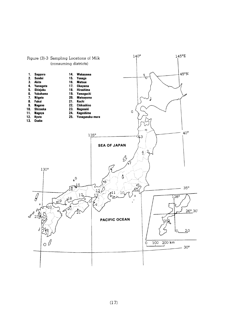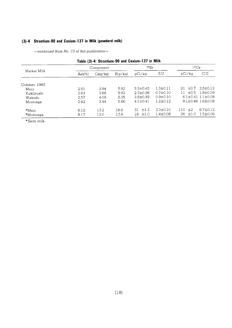# (3)-4 Strontium-90 and Cesium-137 in Milk (powderd milk)

-continued from No. 73 of this publication-

|               |           | Component |                | 90Sr           |                | $137C_S$        |                               |  |
|---------------|-----------|-----------|----------------|----------------|----------------|-----------------|-------------------------------|--|
| Market Milk   | $Ash(\%)$ | Ca(q/kg)  | K(q/kq)        | pCi/ka         | S.U.           | pCi/ka          | C.U.                          |  |
| October, 1985 |           |           |                |                |                |                 |                               |  |
| Meiji         | 2.51      | 3.94      | 5.92           | $5.3 + 0.45$   | $1.3 \pm 0.11$ | 21<br>$\pm 0.7$ | $3.5 \pm 0.12$                |  |
| Yukijirushi   | 2.63      | 3.68      | $5.92^{\circ}$ | $2.7 \pm 0.38$ | $0.7 \pm 0.10$ | $+0.5$<br>11    | 1.8+0.09                      |  |
| Wakodo        | 2.57      | 4.09      | 5.35           | $3.5 \pm 0.39$ | $0.9 + 0.10$   |                 | $6.1 \pm 0.41$ $1.1 \pm 0.08$ |  |
| Morinaga      | 2.42      | 3.44      | 5.66           | $4.1 + 0.41$   | $1.2 \pm 0.12$ |                 | $9.1 \pm 0.48$ 1.6 $\pm$ 0.08 |  |
| *Meiii        | 8.12      | 13.2      | 16.6           | $+1.3$<br>31   | $2.3 \pm 0.10$ | 110<br>±2       | $6.7 \pm 0.12$                |  |
| *Morinaga     | 8.17      | 13.0      | 17.6           | ±1.0<br>18     | $1.4 \pm 0.08$ | 26<br>±1.0      | $1.5 \pm 0.06$                |  |

\*Skim milk.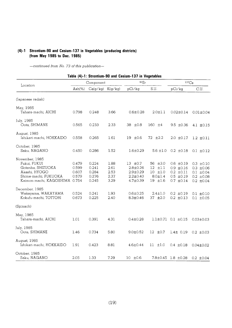# (4)-1 Strontium-90 and Cesium-137 in Vegetables (producing districts) (from May 1985 to Dec. 1985)

|                                                                                                                         |                                           |                                           |                                      | Table (4)-1: Strontium-90 and Cesium-137 in Vegetables                             |                                                                                |                                                                                        |                                                                                        |
|-------------------------------------------------------------------------------------------------------------------------|-------------------------------------------|-------------------------------------------|--------------------------------------|------------------------------------------------------------------------------------|--------------------------------------------------------------------------------|----------------------------------------------------------------------------------------|----------------------------------------------------------------------------------------|
|                                                                                                                         |                                           | Component                                 |                                      | 90Sr                                                                               |                                                                                | 137C <sub>s</sub>                                                                      |                                                                                        |
| Location                                                                                                                | $Ash(\%)$                                 | $Ca(g/kg)$ $K(g/kg)$                      |                                      | pCi/kg                                                                             | S.U.                                                                           | pCi/kg                                                                                 | C.U.                                                                                   |
| (Japanese radish)                                                                                                       |                                           |                                           |                                      |                                                                                    |                                                                                |                                                                                        |                                                                                        |
| May, 1985<br>Tahara-machi, AICHI                                                                                        | 0.798                                     | 0.248                                     | 3.66                                 | $0.6 \pm 0.28$                                                                     | $2.0 \pm 1.1$                                                                  | $0.02 \pm 0.14$                                                                        | $0.01 \pm 0.04$                                                                        |
| July, 1985<br>Oota, SHIMANE                                                                                             | 0.565                                     | 0.233                                     | 2.33                                 | 38 ±0.8                                                                            | $160 + 4$                                                                      | $9.5 \pm 0.36$                                                                         | 4.1 $\pm 0.15$                                                                         |
| August, 1985<br>Ishikari-machi, HOKKAIDO                                                                                | 0.558                                     | 0.265                                     | 1.61                                 | $19 \pm 0.6$                                                                       | 72 ±2.2                                                                        | $2.0 \pm 0.17$                                                                         | $1.2 \pm 0.11$                                                                         |
| October, 1985<br>Saku, NAGANO                                                                                           | 0.450                                     | 0.286                                     | 1.52                                 | $1.6 \pm 0.29$                                                                     | $5.6 \pm 1.0$                                                                  | $0.2 \pm 0.18$                                                                         | $0.1 \pm 0.12$                                                                         |
| November, 1985<br>Fukui, FUKUI<br>Gotenba, SHIZUOKA<br>Akashi, HYOGO<br>Shime-machi, FUKUOKA<br>Kaimon-machi, KAGOSHIMA | 0.479<br>0.599<br>0.607<br>0.579<br>0.754 | 0.224<br>0.241<br>0.284<br>0.276<br>0.245 | 1.88<br>2.61<br>2.53<br>2.37<br>3.29 | 13 $\pm 0.7$<br>$2.8 \pm 0.26$<br>$2.9 + 0.29$<br>$2.2 \pm 0.40$<br>$4.7 \pm 0.39$ | 56 ±3.0<br>$12$ $\pm 1.1$<br>$10$ $\pm 1.0$<br>$8.0 \pm 1.4$<br>$19$ $\pm 1.6$ | $0.6 \pm 0.19$<br>$0.9 \pm 0.16$<br>$0.2 \pm 0.11$<br>$0.5 \pm 0.19$<br>$0.7 \pm 0.14$ | $0.3 \pm 0.10$<br>$0.3 \pm 0.06$<br>$0.1 \pm 0.04$<br>$0.2 \pm 0.08$<br>$0.2 \pm 0.04$ |
| December, 1985<br>Wakayama, WAKAYAMA<br>Kokufu-machi, TOTTORI                                                           | 0.524<br>0.673                            | 0.241<br>0.225                            | 1.93<br>2.40                         | $0.6 \pm 0.25$<br>$8.3 \pm 0.46$                                                   | $2.4 \pm 1.0$<br>37 ±2.0                                                       | $0.2 \pm 0.19$<br>$0.2 \pm 0.13$                                                       | $0.1 \pm 0.10$<br>$0.1 \pm 0.05$                                                       |
| (Spinach)                                                                                                               |                                           |                                           |                                      |                                                                                    |                                                                                |                                                                                        |                                                                                        |
| May, 1985<br>Tahara-machi, AICHI                                                                                        | 1.01                                      | 0.391                                     | 4.31                                 | $0.4 \pm 0.28$                                                                     |                                                                                | $1.1 \pm 0.71$ 0.1 $\pm 0.15$                                                          | $0.03 \pm 0.03$                                                                        |
| July, 1985<br>Oota, SHIMANE                                                                                             | 1.46                                      | 0.734                                     | 5.80                                 | $9.0 \pm 0.52$                                                                     | $12 \pm 0.7$                                                                   | $1.4 \pm 0.19$                                                                         | $0.2 \pm 0.03$                                                                         |
| August, 1985<br>Ishikari-machi, HOKKAIDO                                                                                | 1.91                                      | 0.423                                     | 8.81                                 | $4.6 \pm 0.44$                                                                     | $11 + 1.0$                                                                     | $0.4 \pm 0.18$                                                                         | $0.04 \pm 0.02$                                                                        |
| October, 1985<br>Saku, NAGANO                                                                                           | 2.05                                      | 1.33                                      | 7.29                                 | 10 f 0.6                                                                           |                                                                                | 7.8±0.45 1.8 ±0.28                                                                     | $0.2 \pm 0.04$                                                                         |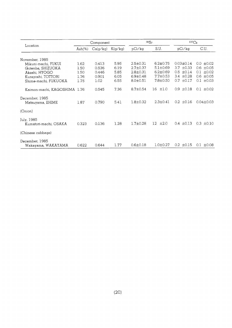|                                      | Component |          |         | 90Sr           | $137C_S$                |                           |                 |
|--------------------------------------|-----------|----------|---------|----------------|-------------------------|---------------------------|-----------------|
| Location                             | $Ash(\%)$ | Ca(g/kg) | K(g/kg) | pCi/kg         | S.U.                    | pCi/kg                    | C.U.            |
| November, 1985                       |           |          |         |                |                         |                           |                 |
| Mikuni-machi, FUKUI                  | 1.62      | 0.413    | 5.95    | $2.5 \pm 0.31$ | $6.2 \pm 0.75$          | $0.03 \pm 0.14$           | $0.0 \pm 0.02$  |
| Gotenba, SHIZUOKA                    | 1.50      | 0.536    | 6.19    | $2.7 \pm 0.37$ | $5.1 \pm 0.69$          | $3.7 \pm 0.33$            | $0.6 \pm 0.05$  |
| Akashi, HYOGO                        | 1.50      | 0.446    | 5.85    | $2.8 \pm 0.31$ | $6.2 \pm 0.69$          | 0.5<br>$\pm 0.14$         | $0.1 \pm 0.02$  |
| Kurayoshi, TOTTORI                   | 1.76      | 0.901    | 6.05    | $6.9 \pm 0.48$ | $7.7 \pm 0.53$          | 3.4 $\pm 0.28$            | $0.6 \pm 0.05$  |
| Shime-machi, FUKUOKA                 | 1.75      | 1.02     | 6.55    | $8.0 \pm 0.51$ | $7.8 \pm 0.50$          | $0.7 \pm 0.17$            | $0.1 \pm 0.03$  |
| Kaimon-machi, KAGOSHIMA 1.76         |           | 0.545    | 7.36    | $8.7 \pm 0.54$ | $16$ $\pm 1.0$          | ±0.18<br>$0.9 -$          | $0.1 \pm 0.02$  |
| December, 1985<br>Matsuyama, EHIME   | 1.87      | 0.790    | 5.41    | $1.8 \pm 0.32$ | $2.3 \pm 0.41$          | $0.2 \pm 0.16$            | $0.04 \pm 0.03$ |
| (Onion)                              |           |          |         |                |                         |                           |                 |
| July, 1985<br>Kumatori-machi, OSAKA  | 0.323     | 0.136    | 1.28    | $1.7 \pm 0.28$ | 12 <sup>°</sup><br>±2.0 | $0.4 \pm 0.13$            | $0.3 \pm 0.10$  |
| (Chinese cabbage)                    |           |          |         |                |                         |                           |                 |
| December, 1985<br>Wakayama, WAKAYAMA | 0.622     | 0.644    | 1.77    | $0.6 \pm 0.18$ | $1.0 \pm 0.27$          | ±0.15<br>0.2 <sub>0</sub> | $0.1 \pm 0.08$  |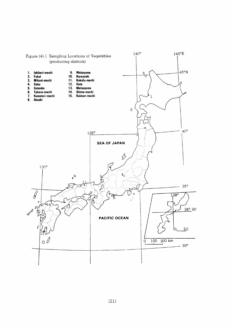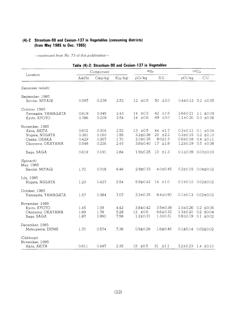### (4)-2 Strontium-90 and Cesium-137 in Vegetables (consuming dist (from May 1985 to Dec.

| Table (4)-2: Strontium-90 and Cesium-137 in Vegetables                                 |                                  |                                  |                              |                                                                    |                                                        |                                                                      |                                                                      |
|----------------------------------------------------------------------------------------|----------------------------------|----------------------------------|------------------------------|--------------------------------------------------------------------|--------------------------------------------------------|----------------------------------------------------------------------|----------------------------------------------------------------------|
|                                                                                        |                                  | Component                        |                              | 90Sr                                                               |                                                        | $137C_S$                                                             |                                                                      |
| Location                                                                               | $Ash(\%)$                        | Ca(g/kg)                         | K(g/kg)                      | pCi/kg                                                             | S.U.                                                   | pCi/kg                                                               | C.U.                                                                 |
| (Japanese radish)                                                                      |                                  |                                  |                              |                                                                    |                                                        |                                                                      |                                                                      |
| September, 1985<br>Sendai, MIYAGI                                                      | 0.597                            | 0.239                            | 2.52                         | $12 \pm 0.5$                                                       | $50 \pm 2.0$                                           |                                                                      | $0.4 \pm 0.12$ 0.2 $\pm 0.05$                                        |
| October, 1985<br>Yamagata, YAMAGATA<br>Kyoto, KYOTO                                    | 0.619<br>0.786                   | 0.345<br>0.209                   | 2.43<br>3.54                 | $14 \pm 0.5$<br>$14 \pm 0.6$                                       | 42 ±1.6<br>69 ±3.0                                     | $2.6 \pm 0.21$<br>$1.1 \pm 0.20$                                     | $1.1 \pm 0.09$<br>$0.3 \pm 0.06$                                     |
| November, 1985<br>Akita, AKITA<br>Niigata, NIIGATA<br>Osaka, OSAKA<br>Okayama, OKAYAMA | 0.602<br>0.381<br>0.429<br>0.548 | 0.304<br>0.160<br>0.267<br>0.226 | 2.52<br>1.56<br>1.70<br>2.45 | $13 \pm 0.5$<br>$3.2 \pm 0.36$<br>$2.0 \pm 0.35$<br>$3.8 \pm 0.40$ | 44 ±1.7<br>$20 \pm 2.2$<br>$8.0 \pm 1.3$<br>$17 + 1.8$ | $0.3 \pm 0.11$<br>$0.3 \pm 0.15$<br>$0.6 \pm 0.18$<br>$1.2 \pm 0.19$ | $0.1 \pm 0.04$<br>$0.2 \pm 0.10$<br>$0.4 \pm 0.11$<br>$0.5 \pm 0.08$ |
| Saga, SAGA                                                                             | 0.619                            | 0.191                            | 2.84                         | $1.9 \pm 0.25$                                                     | $10 \pm 1.3$                                           | $0.1 \pm 0.09$                                                       | $0.03 \pm 0.03$                                                      |
| (Spinach)<br>May, 1985<br>Sendai, MIYAGI                                               | 1.70                             | 0.718                            | 6.46                         | $2.9 \pm 0.33$                                                     | $4.0 \pm 0.45$                                         | $0.2 \pm 0.15$                                                       | $0.04 \pm 0.02$                                                      |
| July, 1985<br>Niigata, NIIGATA                                                         | 1.23                             | 0.427                            | 5.54                         | $5.9 \pm 0.42$                                                     | $14 \pm 1.0$                                           |                                                                      | $0.1 \pm 0.12$ $0.02 \pm 0.02$                                       |
| October, 1985<br>Yamagata, YAMAGATA                                                    | 1.57                             | 0.384                            | 7.07                         | $3.2 \pm 0.35$                                                     | $8.4 \pm 0.90$                                         |                                                                      | $0.1 \pm 0.13$ $0.02 \pm 0.02$                                       |
| November, 1985<br>Kyoto, KYOTO<br>Okayama, OKAYAMA<br>Saga, SAGA                       | 1.45<br>1.69<br>1.87             | 1.09<br>1.78<br>0.992            | 4.42<br>5.28<br>7.58         | $3.8 \pm 0.42$<br>$12 \pm 0.6$<br>$1.2 \pm 0.31$                   | $3.5 \pm 0.38$<br>$6.6 \pm 0.32$<br>$1.3 + 0.31$       | $1.0 + 0.26$<br>$1.3 \pm 0.20$<br>$0.8 \pm 0.19$                     | $0.2 \pm 0.06$<br>$0.2 \pm 0.04$<br>$0.1 \pm 0.02$                   |
| December, 1985<br>Matsuyama, EHIME                                                     | 1.70                             | 0.574                            | 7.36                         | $0.9 \pm 0.26$                                                     | $1.6 \pm 0.45$                                         |                                                                      | $0.1 \pm 0.14$ $0.02 \pm 0.02$                                       |
| (Cabbage)<br>November, 1985<br>Akita, AKITA                                            | 0.611                            | 0.497                            | 2.35                         | $15 \pm 0.5$                                                       | $31 \pm 1.1$                                           |                                                                      | $3.2\pm0.23$ 1.4 $\pm0.10$                                           |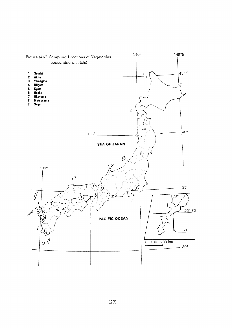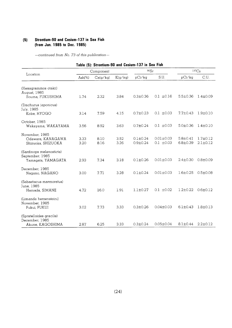# (5) Strontium-90 and Cesium-137 in Sea Fish (from Jun. 1985 to Dec. 1985)

| Table (5): Strontium-90 and Cesium-137 in Sea Fish                |              |              |              |                                |                                   |                                |                                  |
|-------------------------------------------------------------------|--------------|--------------|--------------|--------------------------------|-----------------------------------|--------------------------------|----------------------------------|
|                                                                   | Component    |              | 90Sr         |                                | $137C_S$                          |                                |                                  |
| Location                                                          | $Ash(\%)$    | Ca(g/kg)     | K(g/kg)      | pCi/kg                         | SU.                               | pCi/kg                         | C.U.                             |
| (Hexagrammos otakii)<br>August, 1985<br>Souma, FUKUSHIMA          | 1.74         | 2.32         | 3.84         | $0.3 \pm 0.36$                 | $0.1 \pm 0.16$                    | $5.5 \pm 0.36$                 | $1.4 \pm 0.09$                   |
| (Trachurus japonicus)<br>July, 1985<br>Kobe, HYOGO                | 3.14         | 7.59         | 4.15         | $0.7 \pm 0.23$                 | $0.1 \pm 0.03$                    | $7.7 \pm 0.43$                 | $1.9 \pm 0.10$                   |
| October, 1985<br>Wakayama, WAKAYAMA                               | 3.56         | 8.92         | 3.63         | $0.7 \pm 0.24$                 | $0.1 \pm 0.03$                    | $5.0 \pm 0.36$                 | $1.4 \pm 0.10$                   |
| November, 1985<br>Odawara, KANAGAWA<br>Shizuoka, SHIZUOKA         | 3.33<br>3.20 | 8.10<br>8.16 | 3.52<br>3.26 | $0.1 \pm 0.24$<br>$0.9 + 0.24$ | $0.01 \pm 0.03$<br>$0.1 \pm 0.03$ | $5.8 \pm 0.41$<br>$6.8 + 0.39$ | $1.7 \pm 0.12$<br>$2.1 \pm 0.12$ |
| (Sardinops melanosticta)<br>September, 1985<br>Yamagata, YAMAGATA | 2.93         | 7.34         | 3.18         | $0.1 \pm 0.26$                 | $0.01 + 0.03$                     | $2.4 \pm 0.30$                 | $0.8 + 0.09$                     |
| December, 1985<br>Nagano, NAGANO                                  | 3.00         | 7.71         | 3.28         | $0.1 \pm 0.24$                 | $0.01 \pm 0.03$                   | $1.6 \pm 0.25$                 | $0.5 \pm 0.08$                   |
| (Sebastiscus marmoratus)<br>June, 1985<br>Hamada, SIMANE          | 4.72         | 16.0         | 1.91         | $1.1 + 0.27$                   | $0.1 \pm 0.02$                    | $1.2 + 0.22$                   | $0.6 \pm 0.12$                   |
| (Limanda herzensteini)<br>November, 1985<br>Fukui, FUKUI          | 3.02         | 7.73         | 3.33         | $0.3 \pm 0.26$                 | $0.04 \pm 0.03$                   | $6.1 \pm 0.43$                 | $1.8 \pm 0.13$                   |
| (Spratelloides gracilis)<br>December, 1985<br>Akune, KAGOSHIMA    | 2.87         | 6.25         | 3.33         | $0.3 \pm 0.24$                 | $0.05 + 0.04$                     | $8.1 \pm 0.44$                 | $2.2 \pm 0.12$                   |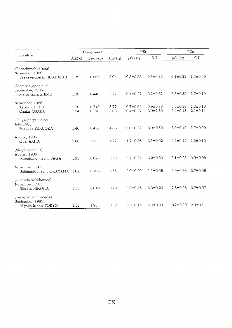|                         | Component |          |         | 90Sr           |                | $137C_S$       |                |
|-------------------------|-----------|----------|---------|----------------|----------------|----------------|----------------|
| Location                | $Ash(\%)$ | Ca(g/kg) | K(g/kg) | pCi/kg         | S.U.           | pCi/kg         | C.U.           |
| (Oncorhynchus keta)     |           |          |         |                |                |                |                |
| November, 1985          |           |          |         |                |                |                |                |
| Urakawa-machi HOKKAIDO  | 1.35      | 0.652    | 3.94    | $0.3 \pm 0.23$ | $0.5 \pm 0.35$ | $6.1 \pm 0.37$ | $1.5 \pm 0.09$ |
| (Scomber japonicus)     |           |          |         |                |                |                |                |
| September, 1985         |           |          |         |                |                |                |                |
| Matsuyama, EHIME        | 1.30      | 0.448    | 3.74    | $0.1 \pm 0.27$ | $0.2 \pm 0.61$ | $6.5 \pm 0.39$ | $1.7 \pm 0.10$ |
| November, 1985          |           |          |         |                |                |                |                |
| Kyoto, KYOTO            | 1.28      | 0.743    | 3.77    | $0.7 \pm 0.24$ | $0.9 + 0.33$   | $5.5 \pm 0.38$ | $1.5 \pm 0.10$ |
| Osaka, OSAKA            | 1.04      | 0.120    | 3.08    | $0.4 \pm 0.27$ | $3.0 \pm 2.30$ | $6.4 \pm 0.43$ | $2.1 \pm 0.14$ |
| (Chrysophrys major)     |           |          |         |                |                |                |                |
| July, 1985              |           |          |         |                |                |                |                |
| Fukuoka FUKUOKA         | 1.46      | 0.436    | 4.66    | $0.0 + 0.22$   | $0.0 \pm 0.50$ | $8.0 \pm 0.40$ | $1.7 \pm 0.09$ |
| August, 1985            |           |          |         |                |                |                |                |
| Oga, AKITA              | 5.80      | 18.5     | 4.27    | $1.7 \pm 0.36$ | $0.1 \pm 0.02$ | $5.5 \pm 0.42$ | $1.3 \pm 0.10$ |
| (Mugil cephalus)        |           |          |         |                |                |                |                |
| August, 1985            |           |          |         |                |                |                |                |
| Morodomo-machi, SAGA    | 1.23      | 0.820    | 3.53    | $0.2 \pm 0.24$ | $0.2 \pm 0.30$ | $3.1 \pm 0.28$ | $0.9 + 0.08$   |
| November, 1985          |           |          |         |                |                |                |                |
| Ushimado-machi, OKAYAMA | 1.82      | 0.796    | 5.55    | $0.9 + 0.29$   | $1.1 \pm 0.36$ | $3.9 + 0.36$   | $0.7 \pm 0.06$ |
| (Limanda yokohamae)     |           |          |         |                |                |                |                |
| November, 1985          |           |          |         |                |                |                |                |
| Niigata, NIIGATA        | 1.50      | 0.819    | 3.73    | $0.0 \pm 0.16$ | $0.0 + 0.20$   | $2.8 \pm 0.26$ | $0.7 \pm 0.07$ |
| (Decapterus muroadsi)   |           |          |         |                |                |                |                |
| September, 1985         |           |          |         |                |                |                |                |
| Miyake-Island, TOKYO    | 1.59      | 1.90     | 3.52    | $0.0 + 0.16$   | $0.0 + 0.09$   | $8.2 \pm 0.39$ | $2.3 \pm 0.11$ |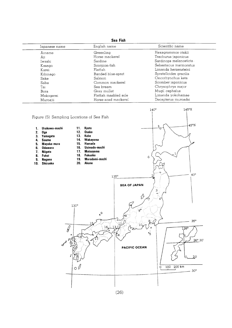| Sea Fish      |                                            |                         |  |  |  |  |
|---------------|--------------------------------------------|-------------------------|--|--|--|--|
| Japanese name | English name                               | Scientific name         |  |  |  |  |
| Ainame        | Greenling                                  | Hexagrammos otakii      |  |  |  |  |
| Aji           | Horse mackerel                             | Trachurus japonicus     |  |  |  |  |
| Iwashi        | Sardine                                    | Sardinops melanosticta. |  |  |  |  |
| Kasago        | Scorpion-fish                              | Sebastiscus marmoratus  |  |  |  |  |
| Karei         | Flatfish                                   | Limanda herzensteini    |  |  |  |  |
| Kibinago      | Banded blue-sprat                          | Spratelloides gracilis  |  |  |  |  |
| Sake          | Salmon                                     | Oncorhynchus keta       |  |  |  |  |
| Saba          | Common mackerel                            | Scomber japonicus       |  |  |  |  |
| Tai           | Sea bream                                  | Chrysophrys major       |  |  |  |  |
| Bora          | Gray mullet                                | Mugil cephalus          |  |  |  |  |
| Makogarei     | Limanda yokohamae<br>Flatfish masbled sole |                         |  |  |  |  |
| Muroajii      | Horse-scad mackerel                        | Decapterus muroadsi     |  |  |  |  |
|               |                                            |                         |  |  |  |  |



 $(26)$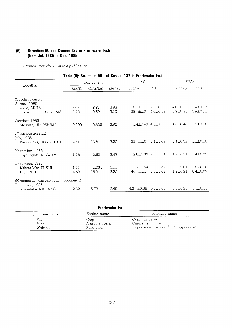# (6) Strontium-90 and Cesium-137 in Freshwater Fish (from Jul. 1985 to Dec. 1985)

-continued from No. 71 of this publication-

# Table (6): Strontium-90 and Cesium-137 in Freshwater Fish

|                                                                               | Component    |               |              | 90Sr                      |                                     | $137C_S$                         |                                  |
|-------------------------------------------------------------------------------|--------------|---------------|--------------|---------------------------|-------------------------------------|----------------------------------|----------------------------------|
| Location                                                                      | $Ash(\%)$    | Ca(g/kg)      | K(g/kg)      | pCi/kg                    | S.U.                                | pCi/kg                           | C.U.                             |
| (Cyprinus carpio)<br>August, 1985                                             |              |               |              |                           |                                     |                                  |                                  |
| Akita, AKITA<br>Fukushima, FUKUSHIMA                                          | 3.06<br>3.28 | 8.81<br>9.59  | 2.82<br>3.19 | $+2$<br>110<br>±1.3<br>38 | $12 \pm 0.2$<br>$4.0 \pm 0.13$      | $4.0 \pm 0.33$<br>$2.7 \pm 0.35$ | $1.4 \pm 0.12$<br>$0.8 \pm 0.11$ |
| October, 1985<br>Shobara, HIROSHIMA                                           | 0.909        | 0.335         | 2.90         |                           | $1.4 \pm 0.43$ 4.0 $\pm$ 1.3        | $4.6 + 0.46$                     | $1.6 + 0.16$                     |
| (Carassius auratus)<br>July, 1985<br>Barato-lake, HOKKAIDO                    | 4.51         | 13.8          | 3.20         | ±1.0<br>33                | $2.4 \pm 0.07$                      | $3.4 \pm 0.32$                   | $1.1 \pm 0.10$                   |
| November, 1985<br>Toyanogata, NIIGATA                                         | 1.16         | 0.63          | 3.47         |                           | 2.8±0.32 4.5±0.51                   | $4.9 \pm 0.31$                   | $1.4 \pm 0.09$                   |
| December, 1985<br>Mikata-lake, FUKUI<br>Uji, KYOTO                            | 1.21<br>4.68 | 1.031<br>15.3 | 3.31<br>3.20 | $40 \pm 1.1$              | 3.7±0.54 3.5±0.52<br>$2.6 \pm 0.07$ | $9.2 \pm 0.61$<br>$1.2 \pm 0.21$ | $2.8 \pm 0.18$<br>$0.4 \pm 0.07$ |
| (Hypomesus transpacificus nipponensis)<br>December, 1985<br>Suwa-lake, NAGANO | 2.32         | 5.73          | 2.49         | ±0.38<br>4.2              | $0.7{\pm}0.07$                      | $2.8 \pm 0.27$                   | $1.1 \pm 0.11$                   |

|               | Freshwater Fish        |                                      |  |  |  |  |  |
|---------------|------------------------|--------------------------------------|--|--|--|--|--|
| Japanese name | English name           | Scientific name                      |  |  |  |  |  |
| Koi<br>Funa   | Carp<br>A crucian carp | Cyprinus carpio<br>Carassius auratus |  |  |  |  |  |
| Wakasagi      | Pond-smelt             | Hypomesus transpacificus nipponensis |  |  |  |  |  |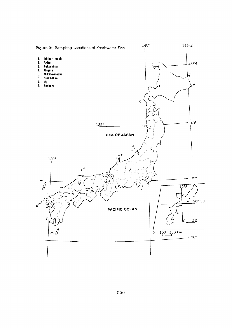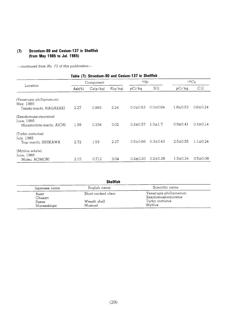# (7) Strontium-90 and Cesium-137 in Shellfish (from May 1985 to Jul. 1985)

-continued from No. 73 of this publication-

| Table (7): Strontium-90 and Cesium-T37 in Sneimsn                |            |          |         |                |                |                |                |
|------------------------------------------------------------------|------------|----------|---------|----------------|----------------|----------------|----------------|
|                                                                  | Component  |          |         | 90Sr           |                | $137C_S$       |                |
| Location                                                         | Ash $(\%)$ | Ca(g/kg) | K(q/kq) | pCi/kg         | S.U.           | pCi/kg         | C.U.           |
| (Venerupis phillipinarum)<br>May, 1985<br>Takaki-machi, NAGASAKI | 2.27       | 0.993    | 2.24    | $0.0 \pm 0.63$ | $0.0 \pm 0.64$ | $1.8 \pm 0.53$ | $0.8 \pm 0.24$ |
| (Saxidomuspurpuratus)<br>June, 1985<br>Minamichita-machi, AICHI  | 1.59       | 0.334    | 3.02    | $0.3 + 0.57$   | $1.0 + 1.7$    | $0.9 \pm 0.41$ | $0.3 \pm 0.14$ |
| (Turbo cornutus)<br>July, 1985<br>Togi-machi, ISHIKAWA           | 2.72       | 1.53     | 2.27    | $0.5 + 0.66$   | $0.3 \pm 0.43$ | $2.5 \pm 0.55$ | $1.1 \pm 0.24$ |
| (Mytilus edulis)<br>June, 1985<br>Mutsu, AOMORI                  | 2.15       | 0.712    | 3.04    | $0.2 \pm 0.20$ | $0.2 \pm 0.28$ | $1.5 \pm 0.24$ | $0.5 \pm 0.08$ |

 $\ddot{\phantom{a}}$ 

| <b>Shellfish</b>      |                         |                                                |  |  |
|-----------------------|-------------------------|------------------------------------------------|--|--|
| Japanese name         | English name            | Scientific name                                |  |  |
| Asari<br>Ohasari      | Short-necked clam       | Venerupis phillipinarum<br>Saxidomuspurpuratus |  |  |
| Sazae<br>Murasakiigai | Wreath shell<br>Mussuel | Turbo cornutus<br>Mytilus                      |  |  |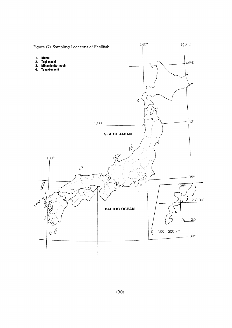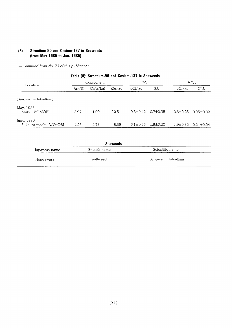# (8) Strontium-90 and Cesium-137 in Seaweeds (from May 1985 to Jun. 1985)

| Table (8): Strontium-90 and Cesium-137 in Seaweeds |           |          |         |                |                |                |                |
|----------------------------------------------------|-----------|----------|---------|----------------|----------------|----------------|----------------|
|                                                    | Component |          | 90Sr    |                | $137C_S$       |                |                |
| Location                                           | $Ash(\%)$ | Ca(q/kg) | K(q/kg) | pCi/ka         | S.U.           | pCi/kg         | C.U.           |
| (Sargassum fulvellum)                              |           |          |         |                |                |                |                |
| May, 1985<br>Mutsu, AOMORI                         | 3.97      | 1.09     | 12.5    | $0.8 + 0.42$   | $0.7 + 0.38$   | $0.6 \pm 0.25$ | $0.05 + 0.02$  |
| June, 1985<br>Fukaura-machi, AOMORI                | 4.26      | 2.73     | 8.39    | $5.1 \pm 0.55$ | $1.9 \pm 0.20$ | $1.9 \pm 0.30$ | $0.2 \pm 0.04$ |

| <b>Seaweeds</b> |              |                     |  |  |  |  |
|-----------------|--------------|---------------------|--|--|--|--|
| Japanese name   | English name | Scientific name     |  |  |  |  |
| Hondawara       | Gulfweed     | Sargassum fulvellum |  |  |  |  |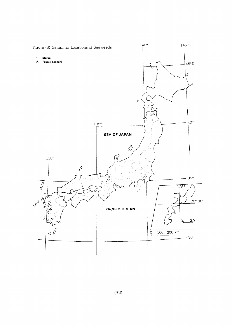